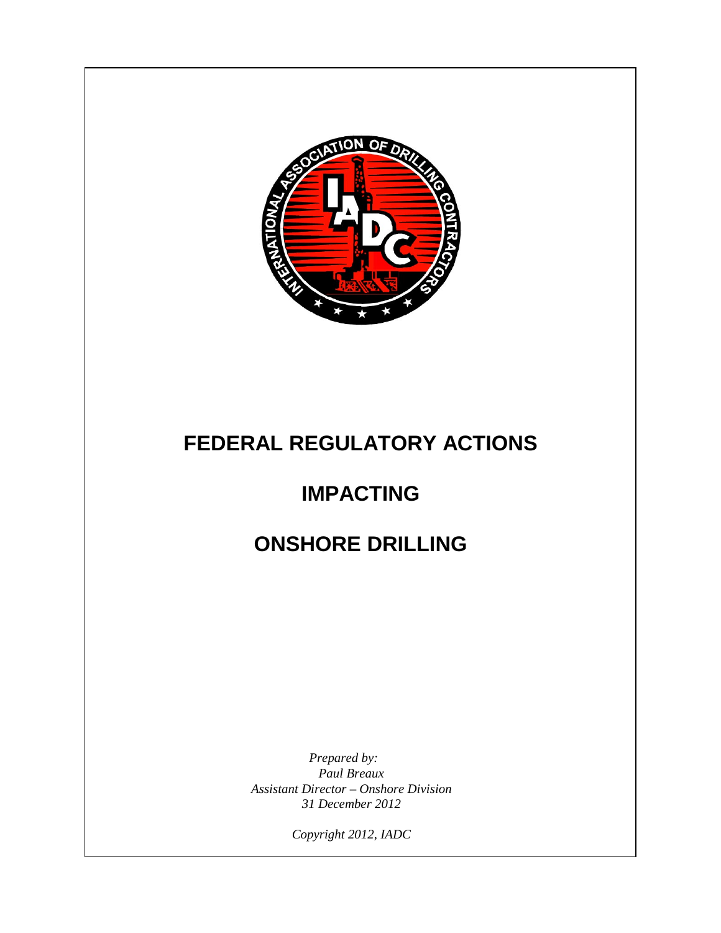

# **FEDERAL REGULATORY ACTIONS**

# **IMPACTING**

# **ONSHORE DRILLING**

*Prepared by: Paul Breaux Assistant Director – Onshore Division 31 December 2012*

*Copyright 2012, IADC*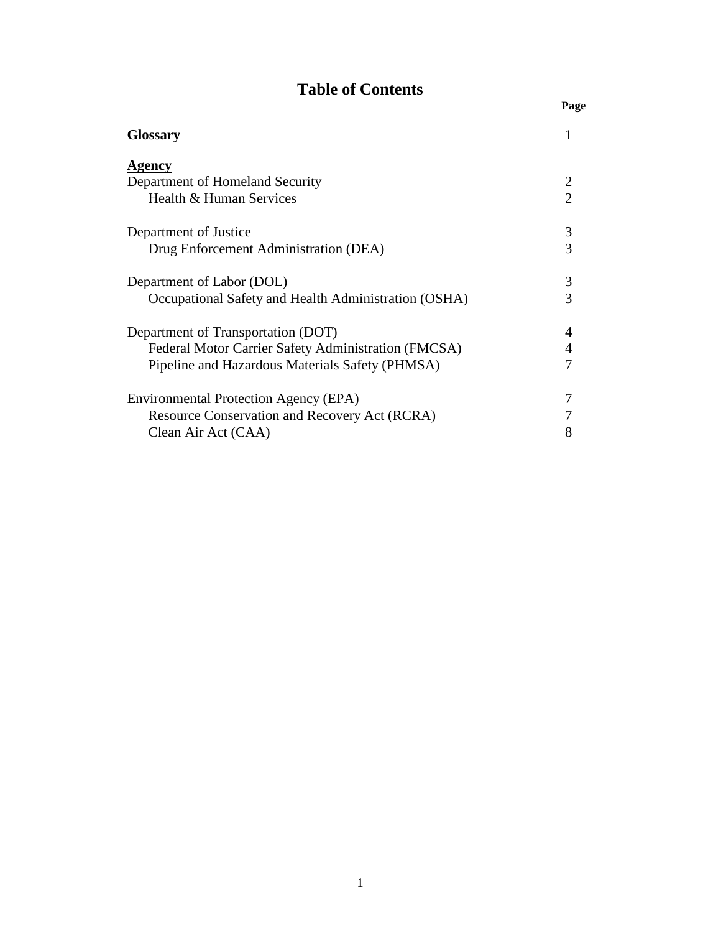## **Table of Contents**

| <b>Glossary</b>                                      |   |
|------------------------------------------------------|---|
| Agency<br>Department of Homeland Security            | 2 |
| Health & Human Services                              | 2 |
| Department of Justice                                | 3 |
| Drug Enforcement Administration (DEA)                | 3 |
| Department of Labor (DOL)                            | 3 |
| Occupational Safety and Health Administration (OSHA) | 3 |
| Department of Transportation (DOT)                   | 4 |
| Federal Motor Carrier Safety Administration (FMCSA)  | 4 |
| Pipeline and Hazardous Materials Safety (PHMSA)      | 7 |
| Environmental Protection Agency (EPA)                |   |
| <b>Resource Conservation and Recovery Act (RCRA)</b> |   |
| Clean Air Act (CAA)                                  | 8 |

**Page**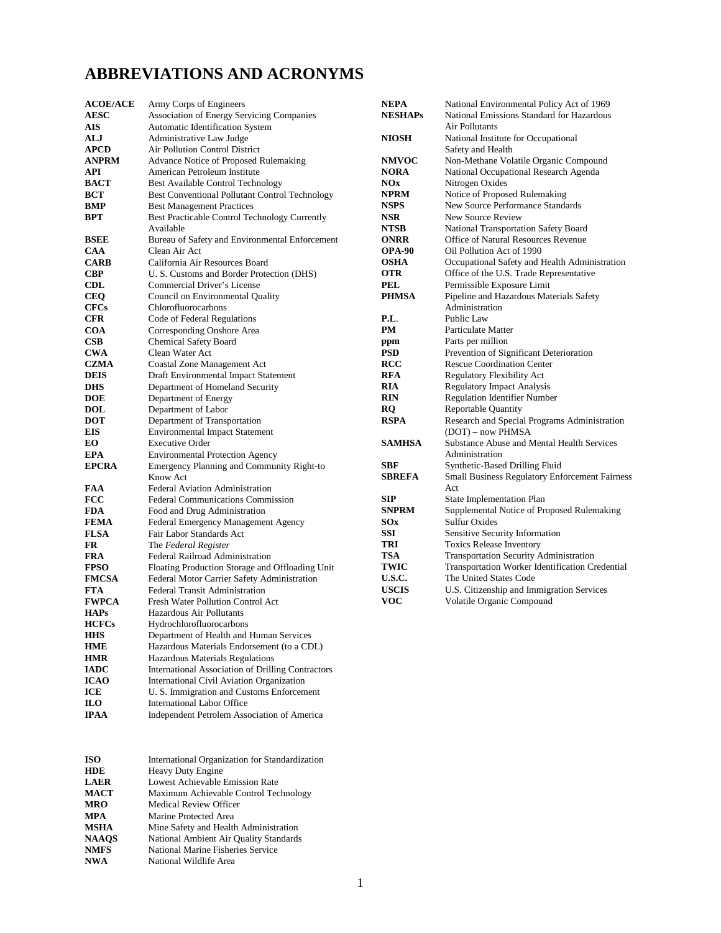### **ABBREVIATIONS AND ACRONYMS**

**HHS** Department of Health and Human Services<br> **HME** Hazardous Materials Endorsement (to a CD **HME** Hazardous Materials Endorsement (to a CDL)<br> **HMR** Hazardous Materials Regulations

**IADC** International Association of Drilling Contractors<br>**ICAO** International Civil Aviation Organization **ICAO** International Civil Aviation Organization<br> **ICE** U. S. Immigration and Customs Enforcem **ICE** U. S. Immigration and Customs Enforcement<br> **ILO** International Labor Office

**ISO** International Organization for Standardization<br> **IIDE** Heavy Duty Engine

**Independent Petrolem Association of America** 

**HMR** Hazardous Materials Regulations<br> **IADC** International Association of Drilli

**LAER** Lowest Achievable Emission Rate<br>
MACT Maximum Achievable Control Tec **MACT** Maximum Achievable Control Technology<br> **MRO** Medical Review Officer

**Marine Protected Area MSHA** Mine Safety and Health Administration **NAAQS** National Ambient Air Quality Standards<br>
NMFS National Marine Fisheries Service **NMFS** National Marine Fisheries Service<br>
NWA National Wildlife Area **National Wildlife Area** 

**ILO** International Labor Office<br> **IPAA** Independent Petrolem Asso

**HDE** Heavy Duty Engine<br>
LAER Lowest Achievable 1

**MRO** Medical Review Officer<br> **MPA** Marine Protected Area

| <b>ACOE/ACE</b> | Army Corps of Engineers                          | <b>NEPA</b>    | National Environmental Policy Act of 1969         |
|-----------------|--------------------------------------------------|----------------|---------------------------------------------------|
| <b>AESC</b>     | <b>Association of Energy Servicing Companies</b> | <b>NESHAPs</b> | National Emissions Standard for Hazardous         |
| AIS             | Automatic Identification System                  |                | Air Pollutants                                    |
| ALJ             | Administrative Law Judge                         | <b>NIOSH</b>   | National Institute for Occupational               |
| <b>APCD</b>     | Air Pollution Control District                   |                | Safety and Health                                 |
| <b>ANPRM</b>    | Advance Notice of Proposed Rulemaking            | <b>NMVOC</b>   | Non-Methane Volatile Organic Compound             |
| API             | American Petroleum Institute                     | <b>NORA</b>    | National Occupational Research Agenda             |
| <b>BACT</b>     | Best Available Control Technology                | NOx            | Nitrogen Oxides                                   |
| <b>BCT</b>      | Best Conventional Pollutant Control Technology   | <b>NPRM</b>    | Notice of Proposed Rulemaking                     |
| <b>BMP</b>      | <b>Best Management Practices</b>                 | <b>NSPS</b>    | New Source Performance Standards                  |
| BPT             | Best Practicable Control Technology Currently    | <b>NSR</b>     | New Source Review                                 |
|                 | Available                                        | <b>NTSB</b>    | National Transportation Safety Board              |
| <b>BSEE</b>     | Bureau of Safety and Environmental Enforcement   | <b>ONRR</b>    | Office of Natural Resources Revenue               |
| <b>CAA</b>      | Clean Air Act                                    | <b>OPA-90</b>  | Oil Pollution Act of 1990                         |
| <b>CARB</b>     | California Air Resources Board                   | <b>OSHA</b>    | Occupational Safety and Health Administration     |
| <b>CBP</b>      | U. S. Customs and Border Protection (DHS)        | <b>OTR</b>     | Office of the U.S. Trade Representative           |
| <b>CDL</b>      | Commercial Driver's License                      | <b>PEL</b>     | Permissible Exposure Limit                        |
| <b>CEQ</b>      | Council on Environmental Quality                 | <b>PHMSA</b>   | Pipeline and Hazardous Materials Safety           |
| <b>CFCs</b>     | Chlorofluorocarbons                              |                | Administration                                    |
| <b>CFR</b>      | Code of Federal Regulations                      | P.L.           | Public Law                                        |
| <b>COA</b>      | Corresponding Onshore Area                       | <b>PM</b>      | Particulate Matter                                |
| <b>CSB</b>      | <b>Chemical Safety Board</b>                     | ppm            | Parts per million                                 |
| <b>CWA</b>      | Clean Water Act                                  | <b>PSD</b>     | Prevention of Significant Deterioration           |
| <b>CZMA</b>     | Coastal Zone Management Act                      | <b>RCC</b>     | <b>Rescue Coordination Center</b>                 |
| <b>DEIS</b>     | Draft Environmental Impact Statement             | <b>RFA</b>     | <b>Regulatory Flexibility Act</b>                 |
| <b>DHS</b>      | Department of Homeland Security                  | <b>RIA</b>     | <b>Regulatory Impact Analysis</b>                 |
| <b>DOE</b>      | Department of Energy                             | <b>RIN</b>     | <b>Regulation Identifier Number</b>               |
| <b>DOL</b>      | Department of Labor                              | RQ             | <b>Reportable Quantity</b>                        |
| <b>DOT</b>      | Department of Transportation                     | <b>RSPA</b>    | Research and Special Programs Administration      |
| EIS             | <b>Environmental Impact Statement</b>            |                | (DOT) – now PHMSA                                 |
| EO.             | <b>Executive Order</b>                           | <b>SAMHSA</b>  | <b>Substance Abuse and Mental Health Services</b> |
| <b>EPA</b>      | <b>Environmental Protection Agency</b>           |                | Administration                                    |
| <b>EPCRA</b>    | Emergency Planning and Community Right-to        | <b>SBF</b>     | Synthetic-Based Drilling Fluid                    |
|                 | Know Act                                         | <b>SBREFA</b>  | Small Business Regulatory Enforcement Fairness    |
| <b>FAA</b>      | <b>Federal Aviation Administration</b>           |                | Act                                               |
| <b>FCC</b>      | <b>Federal Communications Commission</b>         | <b>SIP</b>     | State Implementation Plan                         |
| <b>FDA</b>      | Food and Drug Administration                     | <b>SNPRM</b>   | Supplemental Notice of Proposed Rulemaking        |
| <b>FEMA</b>     | Federal Emergency Management Agency              | S0x            | <b>Sulfur Oxides</b>                              |
| <b>FLSA</b>     | Fair Labor Standards Act                         | SSI            | Sensitive Security Information                    |
| <b>FR</b>       | The Federal Register                             | TRI            | <b>Toxics Release Inventory</b>                   |
| <b>FRA</b>      | Federal Railroad Administration                  | <b>TSA</b>     | Transportation Security Administration            |
| <b>FPSO</b>     | Floating Production Storage and Offloading Unit  | <b>TWIC</b>    | Transportation Worker Identification Credential   |
| <b>FMCSA</b>    | Federal Motor Carrier Safety Administration      | <b>U.S.C.</b>  | The United States Code                            |
| <b>FTA</b>      | <b>Federal Transit Administration</b>            | <b>USCIS</b>   | U.S. Citizenship and Immigration Services         |
| <b>FWPCA</b>    | Fresh Water Pollution Control Act                | <b>VOC</b>     | Volatile Organic Compound                         |
| <b>HAPs</b>     | Hazardous Air Pollutants                         |                |                                                   |
| <b>HCFCs</b>    | Hydrochlorofluorocarbons                         |                |                                                   |
| <b>HHS</b>      | Department of Health and Human Services          |                |                                                   |

| ۳ |
|---|
|   |
|   |
|   |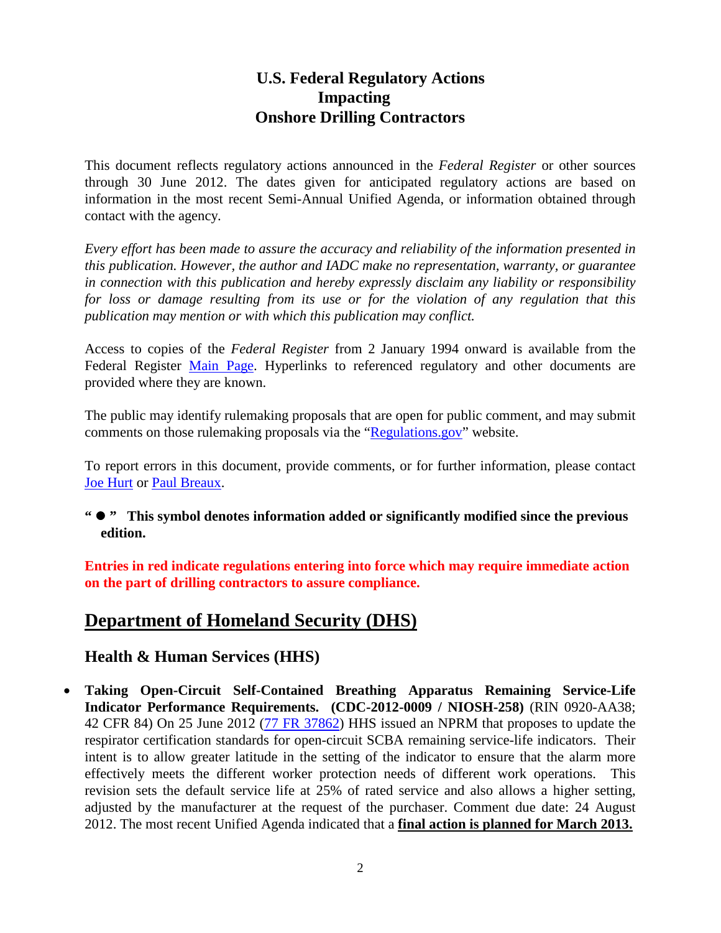#### **U.S. Federal Regulatory Actions Impacting Onshore Drilling Contractors**

This document reflects regulatory actions announced in the *Federal Register* or other sources through 30 June 2012. The dates given for anticipated regulatory actions are based on information in the most recent Semi-Annual Unified Agenda, or information obtained through contact with the agency.

*Every effort has been made to assure the accuracy and reliability of the information presented in this publication. However, the author and IADC make no representation, warranty, or guarantee in connection with this publication and hereby expressly disclaim any liability or responsibility for loss or damage resulting from its use or for the violation of any regulation that this publication may mention or with which this publication may conflict.*

Access to copies of the *Federal Register* from 2 January 1994 onward is available from the Federal Register [Main Page.](http://www.gpoaccess.gov/fr/index.html) Hyperlinks to referenced regulatory and other documents are provided where they are known.

The public may identify rulemaking proposals that are open for public comment, and may submit comments on those rulemaking proposals via the ["Regulations.gov"](http://www.regulations.gov/) website.

To report errors in this document, provide comments, or for further information, please contact [Joe Hurt](mailto:joe.hurt@iadc.org?subject=US%20Land%20Regulations%20Summary%20Question) or [Paul Breaux.](mailto:paul.breaux@iadc.org?subject=US%20Land%20Regulations%20Summary%20Question)

**" " This symbol denotes information added or significantly modified since the previous edition.**

**Entries in red indicate regulations entering into force which may require immediate action on the part of drilling contractors to assure compliance.**

## **Department of Homeland Security (DHS)**

#### **Health & Human Services (HHS)**

• **Taking Open-Circuit Self-Contained Breathing Apparatus Remaining Service-Life Indicator Performance Requirements. (CDC-2012-0009 / NIOSH-258)** (RIN 0920-AA38; 42 CFR 84) On 25 June 2012 [\(77 FR 37862\)](http://www.gpo.gov/fdsys/pkg/FR-2012-06-25/pdf/2012-14764.pdf) HHS issued an NPRM that proposes to update the respirator certification standards for open-circuit SCBA remaining service-life indicators. Their intent is to allow greater latitude in the setting of the indicator to ensure that the alarm more effectively meets the different worker protection needs of different work operations. This revision sets the default service life at 25% of rated service and also allows a higher setting, adjusted by the manufacturer at the request of the purchaser. Comment due date: 24 August 2012. The most recent Unified Agenda indicated that a **final action is planned for March 2013.**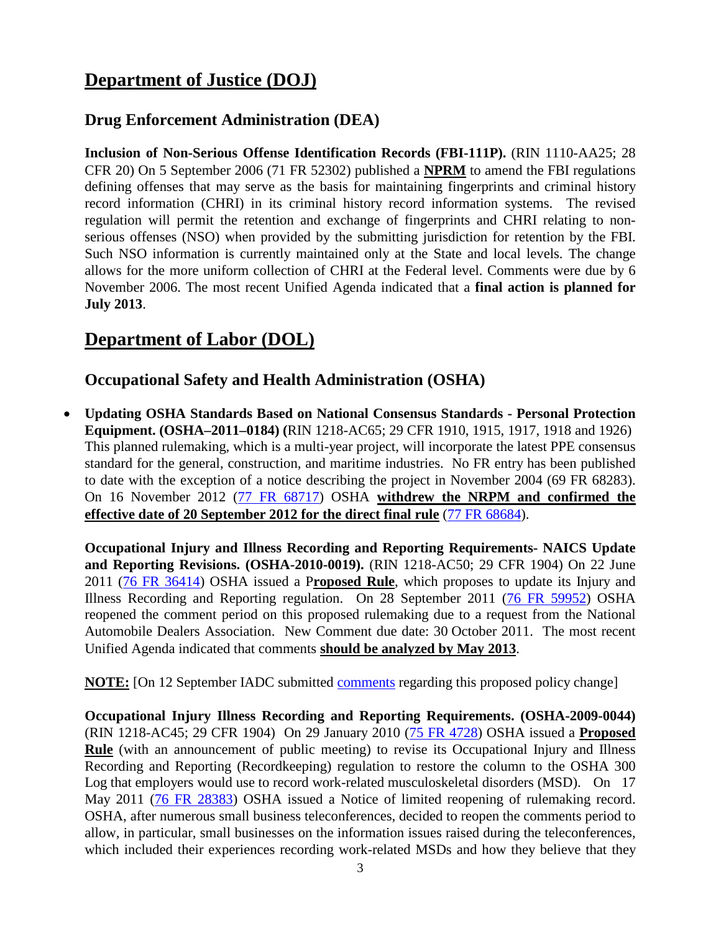## **Department of Justice (DOJ)**

#### **Drug Enforcement Administration (DEA)**

**Inclusion of Non-Serious Offense Identification Records (FBI-111P).** (RIN 1110-AA25; 28 CFR 20) On 5 September 2006 (71 FR 52302) published a **NPRM** to amend the FBI regulations defining offenses that may serve as the basis for maintaining fingerprints and criminal history record information (CHRI) in its criminal history record information systems. The revised regulation will permit the retention and exchange of fingerprints and CHRI relating to nonserious offenses (NSO) when provided by the submitting jurisdiction for retention by the FBI. Such NSO information is currently maintained only at the State and local levels. The change allows for the more uniform collection of CHRI at the Federal level. Comments were due by 6 November 2006. The most recent Unified Agenda indicated that a **final action is planned for July 2013**.

### **Department of Labor (DOL)**

#### **Occupational Safety and Health Administration (OSHA)**

• **Updating OSHA Standards Based on National Consensus Standards - Personal Protection Equipment. (OSHA–2011–0184) (**RIN 1218-AC65; 29 CFR 1910, 1915, 1917, 1918 and 1926) This planned rulemaking, which is a multi-year project, will incorporate the latest PPE consensus standard for the general, construction, and maritime industries. No FR entry has been published to date with the exception of a notice describing the project in November 2004 (69 FR 68283). On 16 November 2012 [\(77 FR 68717\)](http://www.gpo.gov/fdsys/pkg/FR-2012-11-16/pdf/2012-27791.pdf) OSHA **withdrew the NRPM and confirmed the effective date of 20 September 2012 for the direct final rule** [\(77 FR 68684\)](http://www.gpo.gov/fdsys/pkg/FR-2012-11-16/pdf/2012-27792.pdf).

**Occupational Injury and Illness Recording and Reporting Requirements- NAICS Update and Reporting Revisions. (OSHA-2010-0019).** (RIN 1218-AC50; 29 CFR 1904) On 22 June 2011 [\(76 FR 36414\)](http://www.gpo.gov/fdsys/pkg/FR-2011-06-22/pdf/2011-15277.pdf) OSHA issued a P**roposed Rule**, which proposes to update its Injury and Illness Recording and Reporting regulation. On 28 September 2011 [\(76 FR 59952\)](http://www.gpo.gov/fdsys/pkg/FR-2011-09-28/pdf/2011-24779.pdf) OSHA reopened the comment period on this proposed rulemaking due to a request from the National Automobile Dealers Association. New Comment due date: 30 October 2011. The most recent Unified Agenda indicated that comments **should be analyzed by May 2013**.

**NOTE:** [On 12 September IADC submitted [comments](http://www.iadc.org/committees/offshore/index.html) regarding this proposed policy change]

**Occupational Injury Illness Recording and Reporting Requirements. (OSHA-2009-0044)** (RIN 1218-AC45; 29 CFR 1904) On 29 January 2010 [\(75 FR 4728\)](http://edocket.access.gpo.gov/2010/pdf/2010-2010.pdf) OSHA issued a **Proposed Rule** (with an announcement of public meeting) to revise its Occupational Injury and Illness Recording and Reporting (Recordkeeping) regulation to restore the column to the OSHA 300 Log that employers would use to record work-related musculoskeletal disorders (MSD). On 17 May 2011 [\(76 FR 28383\)](http://www.gpo.gov/fdsys/pkg/FR-2011-05-17/pdf/2011-11965.pdf) OSHA issued a Notice of limited reopening of rulemaking record. OSHA, after numerous small business teleconferences, decided to reopen the comments period to allow, in particular, small businesses on the information issues raised during the teleconferences, which included their experiences recording work-related MSDs and how they believe that they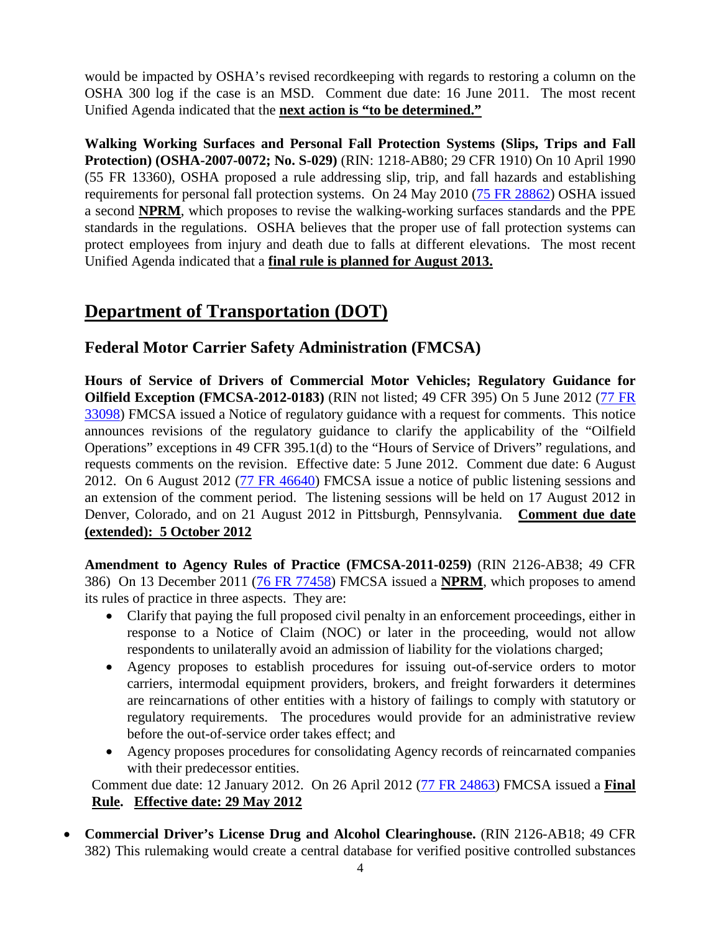would be impacted by OSHA's revised recordkeeping with regards to restoring a column on the OSHA 300 log if the case is an MSD. Comment due date: 16 June 2011. The most recent Unified Agenda indicated that the **next action is "to be determined."**

**Walking Working Surfaces and Personal Fall Protection Systems (Slips, Trips and Fall Protection) (OSHA-2007-0072; No. S-029)** (RIN: 1218-AB80; 29 CFR 1910) On 10 April 1990 (55 FR 13360), OSHA proposed a rule addressing slip, trip, and fall hazards and establishing requirements for personal fall protection systems. On 24 May 2010 [\(75 FR 28862\)](http://edocket.access.gpo.gov/2010/pdf/2010-10418.pdf) OSHA issued a second **NPRM**, which proposes to revise the walking-working surfaces standards and the PPE standards in the regulations. OSHA believes that the proper use of fall protection systems can protect employees from injury and death due to falls at different elevations. The most recent Unified Agenda indicated that a **final rule is planned for August 2013.**

## **Department of Transportation (DOT)**

**Federal Motor Carrier Safety Administration (FMCSA)**

**Hours of Service of Drivers of Commercial Motor Vehicles; Regulatory Guidance for Oilfield Exception (FMCSA-2012-0183)** (RIN not listed; 49 CFR 395) On 5 June 2012 (77 [FR](http://www.gpo.gov/fdsys/pkg/FR-2012-06-05/pdf/2012-13584.pdf)  [33098\)](http://www.gpo.gov/fdsys/pkg/FR-2012-06-05/pdf/2012-13584.pdf) FMCSA issued a Notice of regulatory guidance with a request for comments. This notice announces revisions of the regulatory guidance to clarify the applicability of the "Oilfield Operations" exceptions in 49 CFR 395.1(d) to the "Hours of Service of Drivers" regulations, and requests comments on the revision. Effective date: 5 June 2012. Comment due date: 6 August 2012. On 6 August 2012 [\(77 FR 46640\)](http://www.gpo.gov/fdsys/pkg/FR-2012-08-06/pdf/2012-19303.pdf) FMCSA issue a notice of public listening sessions and an extension of the comment period. The listening sessions will be held on 17 August 2012 in Denver, Colorado, and on 21 August 2012 in Pittsburgh, Pennsylvania. **Comment due date (extended): 5 October 2012**

**Amendment to Agency Rules of Practice (FMCSA-2011-0259)** (RIN 2126-AB38; 49 CFR 386) On 13 December 2011 [\(76 FR 77458\)](http://www.gpo.gov/fdsys/pkg/FR-2011-12-13/pdf/2011-31858.pdf) FMCSA issued a **NPRM**, which proposes to amend its rules of practice in three aspects. They are:

- Clarify that paying the full proposed civil penalty in an enforcement proceedings, either in response to a Notice of Claim (NOC) or later in the proceeding, would not allow respondents to unilaterally avoid an admission of liability for the violations charged;
- Agency proposes to establish procedures for issuing out-of-service orders to motor carriers, intermodal equipment providers, brokers, and freight forwarders it determines are reincarnations of other entities with a history of failings to comply with statutory or regulatory requirements. The procedures would provide for an administrative review before the out-of-service order takes effect; and
- Agency proposes procedures for consolidating Agency records of reincarnated companies with their predecessor entities.

Comment due date: 12 January 2012. On 26 April 2012 [\(77 FR 24863\)](http://www.gpo.gov/fdsys/pkg/FR-2012-04-26/pdf/2012-10162.pdf) FMCSA issued a **Final Rule. Effective date: 29 May 2012**

• **Commercial Driver's License Drug and Alcohol Clearinghouse.** (RIN 2126-AB18; 49 CFR 382) This rulemaking would create a central database for verified positive controlled substances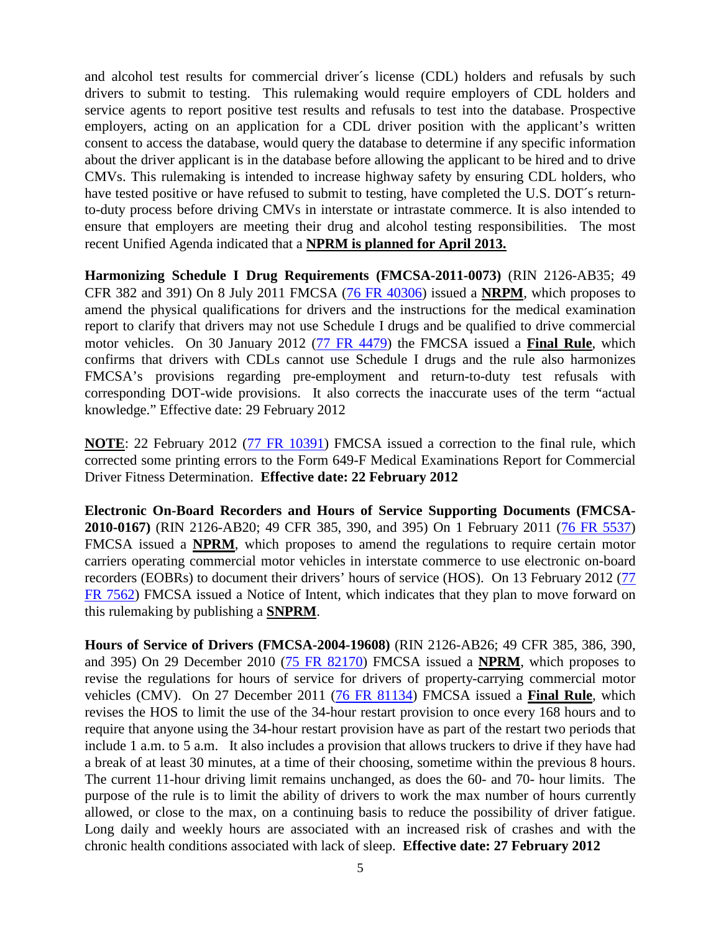and alcohol test results for commercial driver´s license (CDL) holders and refusals by such drivers to submit to testing. This rulemaking would require employers of CDL holders and service agents to report positive test results and refusals to test into the database. Prospective employers, acting on an application for a CDL driver position with the applicant's written consent to access the database, would query the database to determine if any specific information about the driver applicant is in the database before allowing the applicant to be hired and to drive CMVs. This rulemaking is intended to increase highway safety by ensuring CDL holders, who have tested positive or have refused to submit to testing, have completed the U.S. DOT's returnto-duty process before driving CMVs in interstate or intrastate commerce. It is also intended to ensure that employers are meeting their drug and alcohol testing responsibilities. The most recent Unified Agenda indicated that a **NPRM is planned for April 2013.**

**Harmonizing Schedule I Drug Requirements (FMCSA-2011-0073)** (RIN 2126-AB35; 49 CFR 382 and 391) On 8 July 2011 FMCSA [\(76 FR 40306\)](http://www.gpo.gov/fdsys/pkg/FR-2011-07-08/pdf/2011-17192.pdf#page=1) issued a **NRPM**, which proposes to amend the physical qualifications for drivers and the instructions for the medical examination report to clarify that drivers may not use Schedule I drugs and be qualified to drive commercial motor vehicles. On 30 January 2012 [\(77 FR 4479\)](http://www.gpo.gov/fdsys/pkg/FR-2012-01-30/pdf/2012-1905.pdf) the FMCSA issued a **Final Rule**, which confirms that drivers with CDLs cannot use Schedule I drugs and the rule also harmonizes FMCSA's provisions regarding pre-employment and return-to-duty test refusals with corresponding DOT-wide provisions. It also corrects the inaccurate uses of the term "actual knowledge." Effective date: 29 February 2012

**NOTE**: 22 February 2012 [\(77 FR 10391\)](http://www.gpo.gov/fdsys/pkg/FR-2012-02-22/pdf/2012-3978.pdf) FMCSA issued a correction to the final rule, which corrected some printing errors to the Form 649-F Medical Examinations Report for Commercial Driver Fitness Determination. **Effective date: 22 February 2012**

**Electronic On-Board Recorders and Hours of Service Supporting Documents (FMCSA-2010-0167)** (RIN 2126-AB20; 49 CFR 385, 390, and 395) On 1 February 2011 [\(76 FR 5537\)](http://edocket.access.gpo.gov/2011/pdf/2011-2093.pdf) FMCSA issued a **NPRM**, which proposes to amend the regulations to require certain motor carriers operating commercial motor vehicles in interstate commerce to use electronic on-board recorders (EOBRs) to document their drivers' hours of service (HOS). On 13 February 2012 [\(77](http://www.gpo.gov/fdsys/pkg/FR-2012-02-13/pdf/2012-3265.pdf)  [FR 7562\)](http://www.gpo.gov/fdsys/pkg/FR-2012-02-13/pdf/2012-3265.pdf) FMCSA issued a Notice of Intent, which indicates that they plan to move forward on this rulemaking by publishing a **SNPRM**.

**Hours of Service of Drivers (FMCSA-2004-19608)** (RIN 2126-AB26; 49 CFR 385, 386, 390, and 395) On 29 December 2010 [\(75 FR 82170\)](http://edocket.access.gpo.gov/2010/pdf/2010-32251.pdf) FMCSA issued a **NPRM**, which proposes to revise the regulations for hours of service for drivers of property-carrying commercial motor vehicles (CMV). On 27 December 2011 [\(76 FR 81134\)](http://www.gpo.gov/fdsys/pkg/FR-2011-12-27/pdf/2011-32696.pdf) FMCSA issued a **Final Rule**, which revises the HOS to limit the use of the 34-hour restart provision to once every 168 hours and to require that anyone using the 34-hour restart provision have as part of the restart two periods that include 1 a.m. to 5 a.m. It also includes a provision that allows truckers to drive if they have had a break of at least 30 minutes, at a time of their choosing, sometime within the previous 8 hours. The current 11-hour driving limit remains unchanged, as does the 60- and 70- hour limits. The purpose of the rule is to limit the ability of drivers to work the max number of hours currently allowed, or close to the max, on a continuing basis to reduce the possibility of driver fatigue. Long daily and weekly hours are associated with an increased risk of crashes and with the chronic health conditions associated with lack of sleep. **Effective date: 27 February 2012**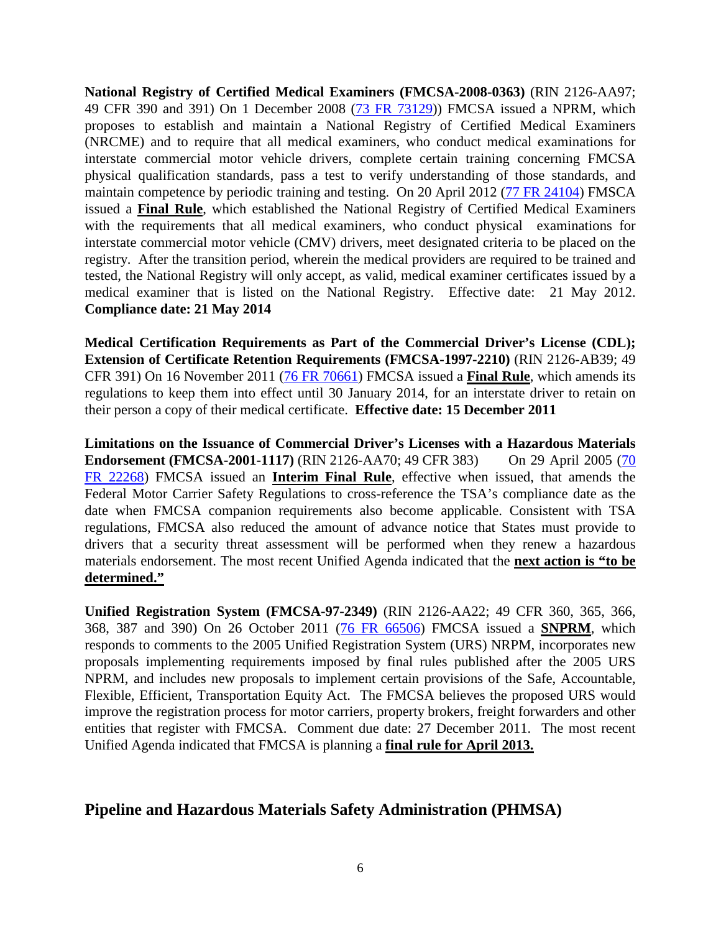**National Registry of Certified Medical Examiners (FMCSA-2008-0363)** (RIN 2126-AA97; 49 CFR 390 and 391) On 1 December 2008 [\(73 FR 73129\)](http://edocket.access.gpo.gov/2008/pdf/E8-28172.pdf)) FMCSA issued a NPRM, which proposes to establish and maintain a National Registry of Certified Medical Examiners (NRCME) and to require that all medical examiners, who conduct medical examinations for interstate commercial motor vehicle drivers, complete certain training concerning FMCSA physical qualification standards, pass a test to verify understanding of those standards, and maintain competence by periodic training and testing. On 20 April 2012 [\(77 FR 24104\)](http://www.gpo.gov/fdsys/pkg/FR-2012-04-20/pdf/2012-9034.pdf) FMSCA issued a **Final Rule**, which established the National Registry of Certified Medical Examiners with the requirements that all medical examiners, who conduct physical examinations for interstate commercial motor vehicle (CMV) drivers, meet designated criteria to be placed on the registry. After the transition period, wherein the medical providers are required to be trained and tested, the National Registry will only accept, as valid, medical examiner certificates issued by a medical examiner that is listed on the National Registry. Effective date: 21 May 2012. **Compliance date: 21 May 2014**

**Medical Certification Requirements as Part of the Commercial Driver's License (CDL); Extension of Certificate Retention Requirements (FMCSA-1997-2210)** (RIN 2126-AB39; 49 CFR 391) On 16 November 2011 [\(76 FR 70661\)](http://www.gpo.gov/fdsys/pkg/FR-2011-11-15/pdf/2011-29481.pdf) FMCSA issued a **Final Rule**, which amends its regulations to keep them into effect until 30 January 2014, for an interstate driver to retain on their person a copy of their medical certificate. **Effective date: 15 December 2011**

**Limitations on the Issuance of Commercial Driver's Licenses with a Hazardous Materials Endorsement (FMCSA-2001-1117)** (RIN 2126-AA70; 49 CFR 383) On 29 April 2005 (70 [FR 22268\)](http://edocket.access.gpo.gov/2005/pdf/05-8572.pdf) FMCSA issued an **Interim Final Rule**, effective when issued, that amends the Federal Motor Carrier Safety Regulations to cross-reference the TSA's compliance date as the date when FMCSA companion requirements also become applicable. Consistent with TSA regulations, FMCSA also reduced the amount of advance notice that States must provide to drivers that a security threat assessment will be performed when they renew a hazardous materials endorsement. The most recent Unified Agenda indicated that the **next action is "to be determined."**

**Unified Registration System (FMCSA-97-2349)** (RIN 2126-AA22; 49 CFR 360, 365, 366, 368, 387 and 390) On 26 October 2011 [\(76 FR 66506\)](http://www.gpo.gov/fdsys/pkg/FR-2011-10-26/pdf/2011-26958.pdf) FMCSA issued a **SNPRM**, which responds to comments to the 2005 Unified Registration System (URS) NRPM, incorporates new proposals implementing requirements imposed by final rules published after the 2005 URS NPRM, and includes new proposals to implement certain provisions of the Safe, Accountable, Flexible, Efficient, Transportation Equity Act. The FMCSA believes the proposed URS would improve the registration process for motor carriers, property brokers, freight forwarders and other entities that register with FMCSA. Comment due date: 27 December 2011. The most recent Unified Agenda indicated that FMCSA is planning a **final rule for April 2013.**

#### **Pipeline and Hazardous Materials Safety Administration (PHMSA)**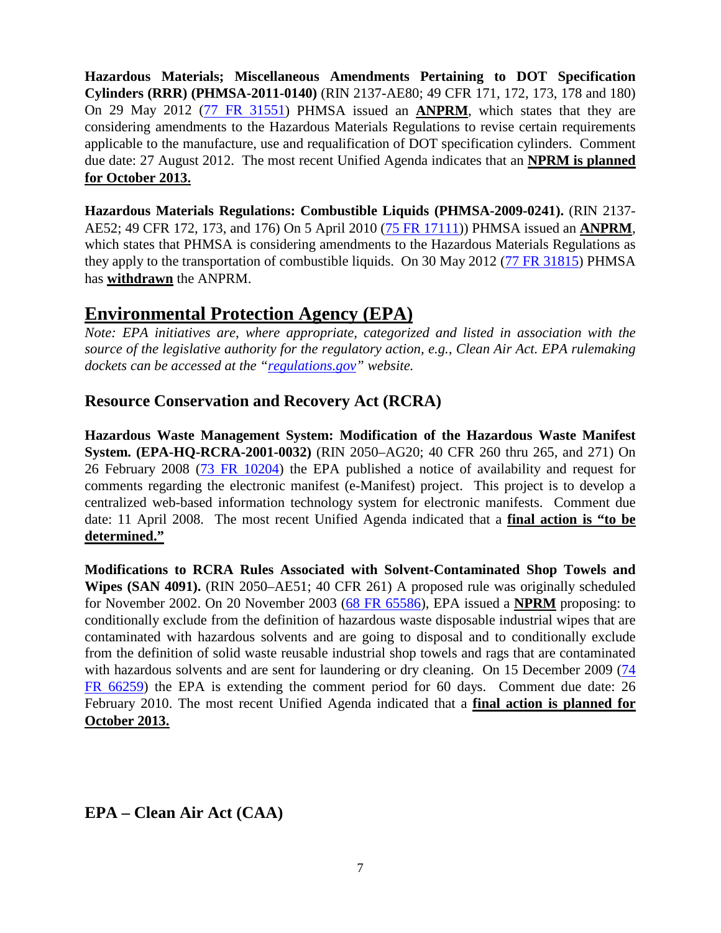**Hazardous Materials; Miscellaneous Amendments Pertaining to DOT Specification Cylinders (RRR) (PHMSA-2011-0140)** (RIN 2137-AE80; 49 CFR 171, 172, 173, 178 and 180) On 29 May 2012 [\(77 FR 31551\)](http://www.gpo.gov/fdsys/pkg/FR-2012-05-29/pdf/2012-12832.pdf) PHMSA issued an **ANPRM**, which states that they are considering amendments to the Hazardous Materials Regulations to revise certain requirements applicable to the manufacture, use and requalification of DOT specification cylinders. Comment due date: 27 August 2012. The most recent Unified Agenda indicates that an **NPRM is planned for October 2013.**

**Hazardous Materials Regulations: Combustible Liquids (PHMSA-2009-0241).** (RIN 2137- AE52; 49 CFR 172, 173, and 176) On 5 April 2010 [\(75 FR 17111\)](http://edocket.access.gpo.gov/2010/pdf/2010-7544.pdf)) PHMSA issued an **ANPRM**, which states that PHMSA is considering amendments to the Hazardous Materials Regulations as they apply to the transportation of combustible liquids. On 30 May 2012 [\(77 FR 31815\)](http://www.gpo.gov/fdsys/pkg/FR-2012-05-30/pdf/2012-12958.pdf) PHMSA has **withdrawn** the ANPRM.

### **Environmental Protection Agency (EPA)**

*Note: EPA initiatives are, where appropriate, categorized and listed in association with the source of the legislative authority for the regulatory action, e.g., Clean Air Act. EPA rulemaking dockets can be accessed at the ["regulations.gov"](http://www.regulations.gov/fdmspublic/component/main) website.*

#### **Resource Conservation and Recovery Act (RCRA)**

**Hazardous Waste Management System: Modification of the Hazardous Waste Manifest System. (EPA-HQ-RCRA-2001-0032)** (RIN 2050–AG20; 40 CFR 260 thru 265, and 271) On 26 February 2008 [\(73 FR 10204\)](http://edocket.access.gpo.gov/2008/pdf/E8-3615.pdf) the EPA published a notice of availability and request for comments regarding the electronic manifest (e-Manifest) project. This project is to develop a centralized web-based information technology system for electronic manifests. Comment due date: 11 April 2008. The most recent Unified Agenda indicated that a **final action is "to be determined."**

**Modifications to RCRA Rules Associated with Solvent-Contaminated Shop Towels and Wipes (SAN 4091).** (RIN 2050–AE51; 40 CFR 261) A proposed rule was originally scheduled for November 2002. On 20 November 2003 [\(68 FR 65586\)](http://edocket.access.gpo.gov/2003/pdf/03-28652.pdf), EPA issued a **NPRM** proposing: to conditionally exclude from the definition of hazardous waste disposable industrial wipes that are contaminated with hazardous solvents and are going to disposal and to conditionally exclude from the definition of solid waste reusable industrial shop towels and rags that are contaminated with hazardous solvents and are sent for laundering or dry cleaning. On 15 December 2009 (74 [FR 66259\)](http://edocket.access.gpo.gov/2009/pdf/E9-29804.pdf) the EPA is extending the comment period for 60 days. Comment due date: 26 February 2010. The most recent Unified Agenda indicated that a **final action is planned for October 2013.**

#### **EPA – Clean Air Act (CAA)**